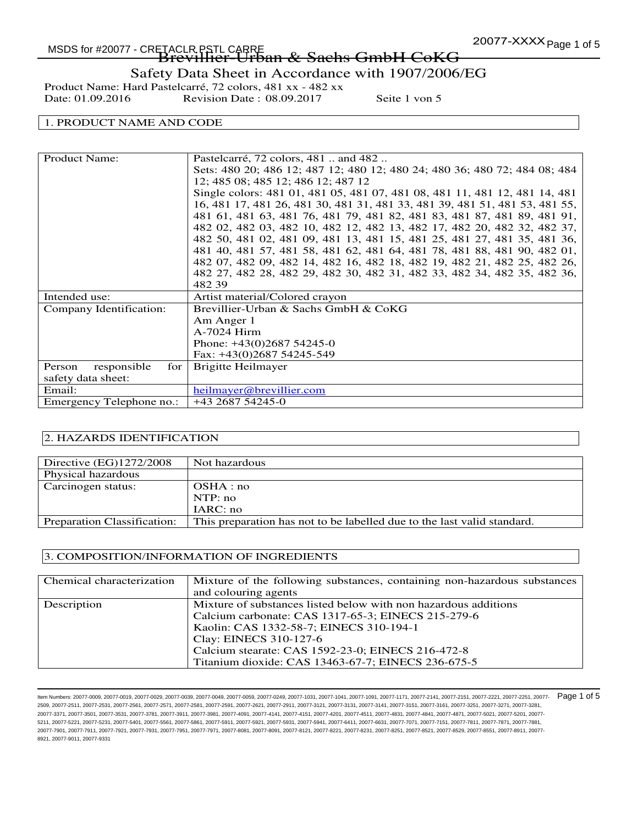## 20077-XXXX Page 1 of 5 MSDS for #20077 - CRETACLR PSTL CARRE -TACLR.PSIL CARRE<br>**Brevillier-Urban & Sachs GmbH CoKG**

Safety Data Sheet in Accordance with 1907/2006/EG

Product Name: Hard Pastelcarré, 72 colors, 481 xx - 482 xx<br>Date: 01.09.2016 Revision Date : 08.09.2017 Revision Date : 08.09.2017 Seite 1 von 5

## 1. PRODUCT NAME AND CODE

| <b>Product Name:</b>         | Pastelcarré, 72 colors, 481  and 482                                        |
|------------------------------|-----------------------------------------------------------------------------|
|                              | Sets: 480 20; 486 12; 487 12; 480 12; 480 24; 480 36; 480 72; 484 08; 484   |
|                              | 12; 485 08; 485 12; 486 12; 487 12                                          |
|                              | Single colors: 481 01, 481 05, 481 07, 481 08, 481 11, 481 12, 481 14, 481  |
|                              | 16, 481 17, 481 26, 481 30, 481 31, 481 33, 481 39, 481 51, 481 53, 481 55, |
|                              | 481 61, 481 63, 481 76, 481 79, 481 82, 481 83, 481 87, 481 89, 481 91,     |
|                              | 482 02, 482 03, 482 10, 482 12, 482 13, 482 17, 482 20, 482 32, 482 37,     |
|                              | 482 50, 481 02, 481 09, 481 13, 481 15, 481 25, 481 27, 481 35, 481 36,     |
|                              | 481 40, 481 57, 481 58, 481 62, 481 64, 481 78, 481 88, 481 90, 482 01,     |
|                              | 482 07, 482 09, 482 14, 482 16, 482 18, 482 19, 482 21, 482 25, 482 26,     |
|                              | 482 27, 482 28, 482 29, 482 30, 482 31, 482 33, 482 34, 482 35, 482 36,     |
|                              | 482 39                                                                      |
| Intended use:                | Artist material/Colored crayon                                              |
| Company Identification:      | Brevillier-Urban & Sachs GmbH & CoKG                                        |
|                              | Am Anger 1                                                                  |
|                              | A-7024 Hirm                                                                 |
|                              | Phone: $+43(0)268754245-0$                                                  |
|                              | Fax: $+43(0)268754245-549$                                                  |
| responsible<br>Person<br>for | Brigitte Heilmayer                                                          |
| safety data sheet:           |                                                                             |
| Email:                       | heilmayer@brevillier.com                                                    |
| Emergency Telephone no.:     | $+43268754245-0$                                                            |

#### 2. HAZARDS IDENTIFICATION

| Directive $(EG)1272/2008$   | Not hazardous                                                           |
|-----------------------------|-------------------------------------------------------------------------|
| Physical hazardous          |                                                                         |
| Carcinogen status:          | OSHA:no                                                                 |
|                             | NTP: no                                                                 |
|                             | IARC: no                                                                |
| Preparation Classification: | This preparation has not to be labelled due to the last valid standard. |

#### 3. COMPOSITION/INFORMATION OF INGREDIENTS

| Chemical characterization | Mixture of the following substances, containing non-hazardous substances |
|---------------------------|--------------------------------------------------------------------------|
|                           | and colouring agents                                                     |
| Description               | Mixture of substances listed below with non hazardous additions          |
|                           | Calcium carbonate: CAS 1317-65-3; EINECS 215-279-6                       |
|                           | Kaolin: CAS 1332-58-7; EINECS 310-194-1                                  |
|                           | Clay: EINECS 310-127-6                                                   |
|                           | Calcium stearate: CAS 1592-23-0; EINECS 216-472-8                        |
|                           | Titanium dioxide: CAS 13463-67-7; EINECS 236-675-5                       |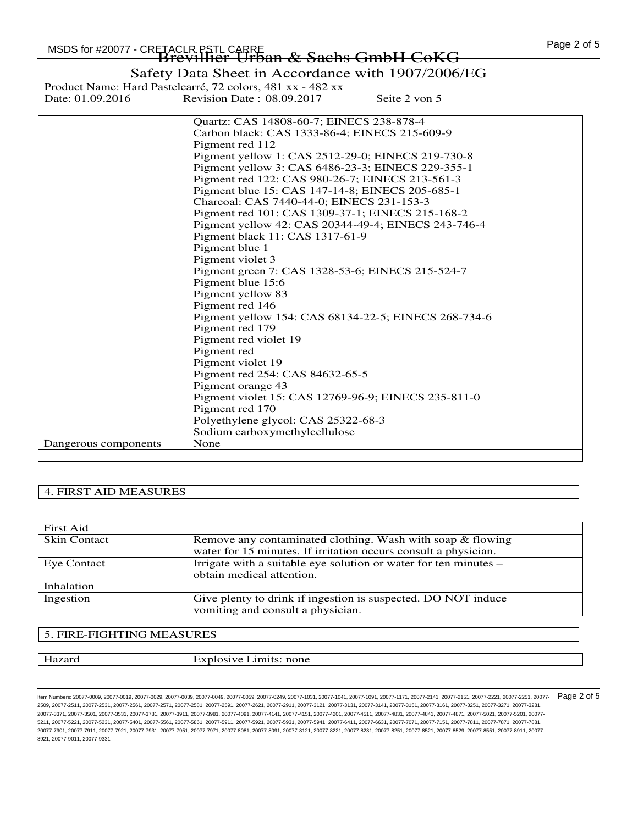Safety Data Sheet in Accordance with 1907/2006/EG

Product Name: Hard Pastelcarré, 72 colors, 481 xx - 482 xx<br>Date: 01.09.2016 Revision Date : 08.09.2017 Revision Date : 08.09.2017 Seite 2 von 5

|                      | Quartz: CAS 14808-60-7; EINECS 238-878-4             |
|----------------------|------------------------------------------------------|
|                      | Carbon black: CAS 1333-86-4; EINECS 215-609-9        |
|                      | Pigment red 112                                      |
|                      | Pigment yellow 1: CAS 2512-29-0; EINECS 219-730-8    |
|                      | Pigment yellow 3: CAS 6486-23-3; EINECS 229-355-1    |
|                      | Pigment red 122: CAS 980-26-7; EINECS 213-561-3      |
|                      | Pigment blue 15: CAS 147-14-8; EINECS 205-685-1      |
|                      | Charcoal: CAS 7440-44-0; EINECS 231-153-3            |
|                      | Pigment red 101: CAS 1309-37-1; EINECS 215-168-2     |
|                      | Pigment yellow 42: CAS 20344-49-4; EINECS 243-746-4  |
|                      | Pigment black 11: CAS 1317-61-9                      |
|                      | Pigment blue 1                                       |
|                      | Pigment violet 3                                     |
|                      | Pigment green 7: CAS 1328-53-6; EINECS 215-524-7     |
|                      | Pigment blue 15:6                                    |
|                      | Pigment yellow 83                                    |
|                      | Pigment red 146                                      |
|                      | Pigment yellow 154: CAS 68134-22-5; EINECS 268-734-6 |
|                      | Pigment red 179                                      |
|                      | Pigment red violet 19                                |
|                      | Pigment red                                          |
|                      | Pigment violet 19                                    |
|                      | Pigment red 254: CAS 84632-65-5                      |
|                      | Pigment orange 43                                    |
|                      | Pigment violet 15: CAS 12769-96-9; EINECS 235-811-0  |
|                      | Pigment red 170                                      |
|                      | Polyethylene glycol: CAS 25322-68-3                  |
|                      | Sodium carboxymethylcellulose                        |
| Dangerous components | None                                                 |
|                      |                                                      |

## 4. FIRST AID MEASURES

| <b>First Aid</b>    |                                                                  |
|---------------------|------------------------------------------------------------------|
| <b>Skin Contact</b> | Remove any contaminated clothing. Wash with soap & flowing       |
|                     | water for 15 minutes. If irritation occurs consult a physician.  |
| Eye Contact         | Irrigate with a suitable eye solution or water for ten minutes – |
|                     | obtain medical attention.                                        |
| Inhalation          |                                                                  |
| Ingestion           | Give plenty to drink if ingestion is suspected. DO NOT induce    |
|                     | vomiting and consult a physician.                                |

#### 5. FIRE-FIGHTING MEASURES

Hazard Explosive Limits: none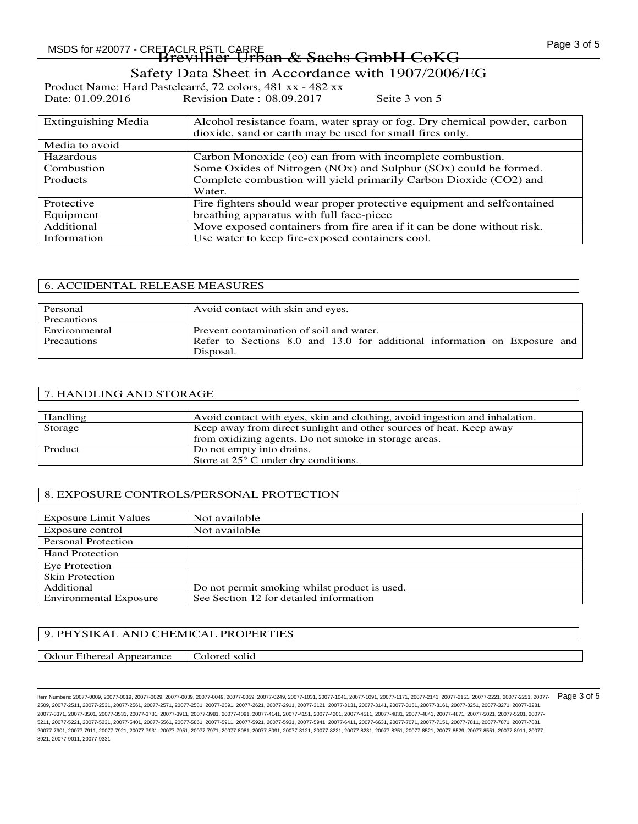# -TACLR.PSIL CARRE<br>**Brevillier-Urban & Sachs GmbH CoKG**

Safety Data Sheet in Accordance with 1907/2006/EG

Product Name: Hard Pastelcarré, 72 colors, 481 xx - 482 xx<br>Date: 01.09.2016 Revision Date : 08.09.2017 Revision Date : 08.09.2017 Seite 3 von 5

| <b>Extinguishing Media</b> | Alcohol resistance foam, water spray or fog. Dry chemical powder, carbon |
|----------------------------|--------------------------------------------------------------------------|
|                            | dioxide, sand or earth may be used for small fires only.                 |
| Media to avoid             |                                                                          |
| <b>Hazardous</b>           | Carbon Monoxide (co) can from with incomplete combustion.                |
| Combustion                 | Some Oxides of Nitrogen (NOx) and Sulphur (SOx) could be formed.         |
| <b>Products</b>            | Complete combustion will yield primarily Carbon Dioxide (CO2) and        |
|                            | Water.                                                                   |
| Protective                 | Fire fighters should wear proper protective equipment and selfcontained  |
| Equipment                  | breathing apparatus with full face-piece                                 |
| Additional                 | Move exposed containers from fire area if it can be done without risk.   |
| Information                | Use water to keep fire-exposed containers cool.                          |

| <b>6. ACCIDENTAL RELEASE MEASURES</b> |                                                                           |
|---------------------------------------|---------------------------------------------------------------------------|
|                                       |                                                                           |
| Personal                              | Avoid contact with skin and eyes.                                         |
| Precautions                           |                                                                           |
| Environmental                         | Prevent contamination of soil and water.                                  |
| <b>Precautions</b>                    | Refer to Sections 8.0 and 13.0 for additional information on Exposure and |
|                                       | Disposal.                                                                 |

## 7. HANDLING AND STORAGE

| Handling | Avoid contact with eyes, skin and clothing, avoid in gestion and inhalation. |
|----------|------------------------------------------------------------------------------|
| Storage  | Keep away from direct sunlight and other sources of heat. Keep away          |
|          | from oxidizing agents. Do not smoke in storage areas.                        |
| Product  | Do not empty into drains.                                                    |
|          | Store at $25^{\circ}$ C under dry conditions.                                |

## 8. EXPOSURE CONTROLS/PERSONAL PROTECTION

| <b>Exposure Limit Values</b>  | Not available                                 |
|-------------------------------|-----------------------------------------------|
| Exposure control              | Not available                                 |
| <b>Personal Protection</b>    |                                               |
| <b>Hand Protection</b>        |                                               |
| Eye Protection                |                                               |
| <b>Skin Protection</b>        |                                               |
| Additional                    | Do not permit smoking whilst product is used. |
| <b>Environmental Exposure</b> | See Section 12 for detailed information       |

## 9. PHYSIKAL AND CHEMICAL PROPERTIES

Odour Ethereal Appearance | Colored solid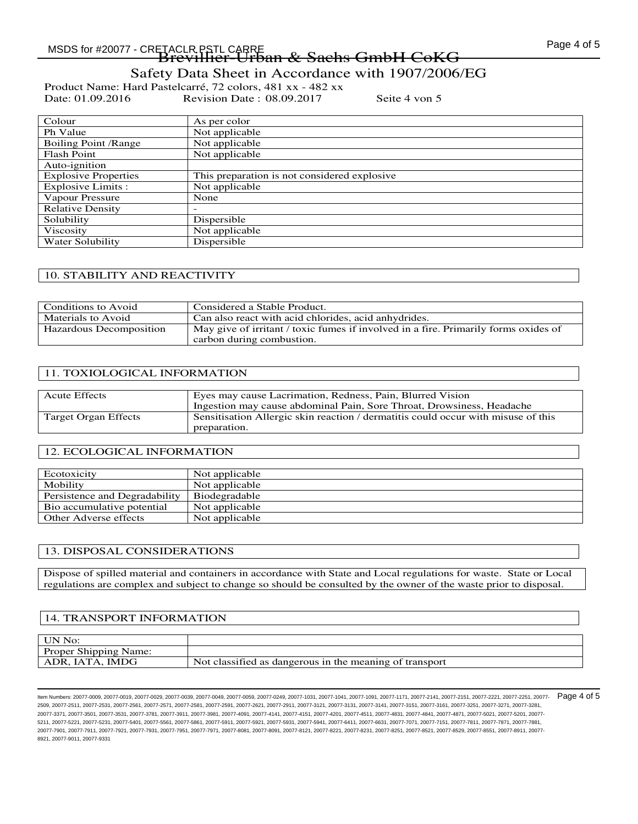-TACLR.PSIL CARRE<br>**Brevillier-Urban & Sachs GmbH CoKG** 

Safety Data Sheet in Accordance with 1907/2006/EG

Product Name: Hard Pastelcarré, 72 colors, 481 xx - 482 xx<br>Date: 01.09.2016 Revision Date : 08.09.2017 Revision Date : 08.09.2017 Seite 4 von 5

| Colour                      | As per color                                 |
|-----------------------------|----------------------------------------------|
| Ph Value                    | Not applicable                               |
| <b>Boiling Point /Range</b> | Not applicable                               |
| <b>Flash Point</b>          | Not applicable                               |
| Auto-ignition               |                                              |
| <b>Explosive Properties</b> | This preparation is not considered explosive |
| Explosive Limits :          | Not applicable                               |
| Vapour Pressure             | None                                         |
| <b>Relative Density</b>     |                                              |
| Solubility                  | Dispersible                                  |
| Viscosity                   | Not applicable                               |
| <b>Water Solubility</b>     | Dispersible                                  |

## 10. STABILITY AND REACTIVITY

| Conditions to Avoid     | Considered a Stable Product.                                                        |
|-------------------------|-------------------------------------------------------------------------------------|
| Materials to Avoid      | Can also react with acid chlorides, acid anhydrides.                                |
| Hazardous Decomposition | May give of irritant / toxic fumes if involved in a fire. Primarily forms oxides of |
|                         | carbon during combustion.                                                           |

## 11. TOXIOLOGICAL INFORMATION

| <b>Acute Effects</b> | Eyes may cause Lacrimation, Redness, Pain, Blurred Vision                                         |
|----------------------|---------------------------------------------------------------------------------------------------|
|                      | Ingestion may cause abdominal Pain, Sore Throat, Drowsiness, Headache                             |
| Target Organ Effects | Sensitisation Allergic skin reaction / dermatitis could occur with misuse of this<br>preparation. |

## 12. ECOLOGICAL INFORMATION

| Ecotoxicity                   | Not applicable |
|-------------------------------|----------------|
| Mobility                      | Not applicable |
| Persistence and Degradability | Biodegradable  |
| Bio accumulative potential    | Not applicable |
| Other Adverse effects         | Not applicable |

## 13. DISPOSAL CONSIDERATIONS

Dispose of spilled material and containers in accordance with State and Local regulations for waste. State or Local regulations are complex and subject to change so should be consulted by the owner of the waste prior to disposal.

## 14. TRANSPORT INFORMATION

| UN No:                       |                                                         |
|------------------------------|---------------------------------------------------------|
| <b>Proper Shipping Name:</b> |                                                         |
| ADR, IATA, IMDG              | Not classified as dangerous in the meaning of transport |